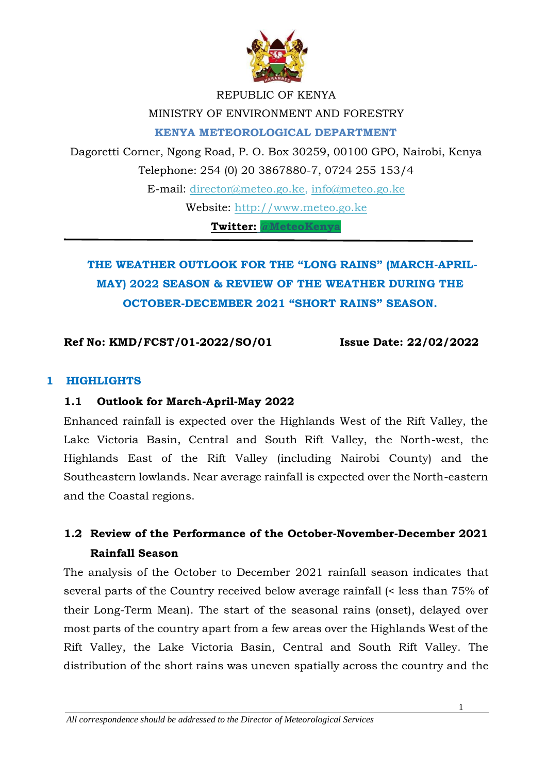

#### REPUBLIC OF KENYA

#### MINISTRY OF ENVIRONMENT AND FORESTRY

**KENYA METEOROLOGICAL DEPARTMENT** 

Dagoretti Corner, Ngong Road, P. O. Box 30259, 00100 GPO, Nairobi, Kenya Telephone: 254 (0) 20 3867880-7, 0724 255 153/4 E-mail: director@meteo.go.ke, info@meteo.go.ke Website: [http://www.meteo.go.ke](http://www.meteo.go.ke/) **Twitter: @MeteoKenya**

# **THE WEATHER OUTLOOK FOR THE "LONG RAINS" (MARCH-APRIL-MAY) 2022 SEASON & REVIEW OF THE WEATHER DURING THE OCTOBER-DECEMBER 2021 "SHORT RAINS" SEASON.**

#### **Ref No: KMD/FCST/01-2022/SO/01 Issue Date: 22/02/2022**

#### **1 HIGHLIGHTS**

#### **1.1 Outlook for March-April-May 2022**

Enhanced rainfall is expected over the Highlands West of the Rift Valley, the Lake Victoria Basin, Central and South Rift Valley, the North-west, the Highlands East of the Rift Valley (including Nairobi County) and the Southeastern lowlands. Near average rainfall is expected over the North-eastern and the Coastal regions.

## **1.2 Review of the Performance of the October-November-December 2021 Rainfall Season**

The analysis of the October to December 2021 rainfall season indicates that several parts of the Country received below average rainfall (< less than 75% of their Long-Term Mean). The start of the seasonal rains (onset), delayed over most parts of the country apart from a few areas over the Highlands West of the Rift Valley, the Lake Victoria Basin, Central and South Rift Valley. The distribution of the short rains was uneven spatially across the country and the

1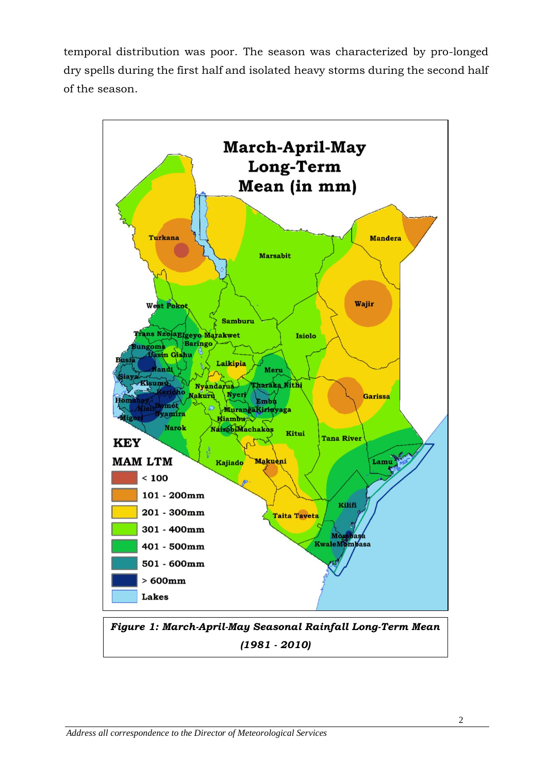temporal distribution was poor. The season was characterized by pro-longed dry spells during the first half and isolated heavy storms during the second half of the season.



*Figure 1: March-April-May Seasonal Rainfall Long-Term Mean (1981 - 2010)*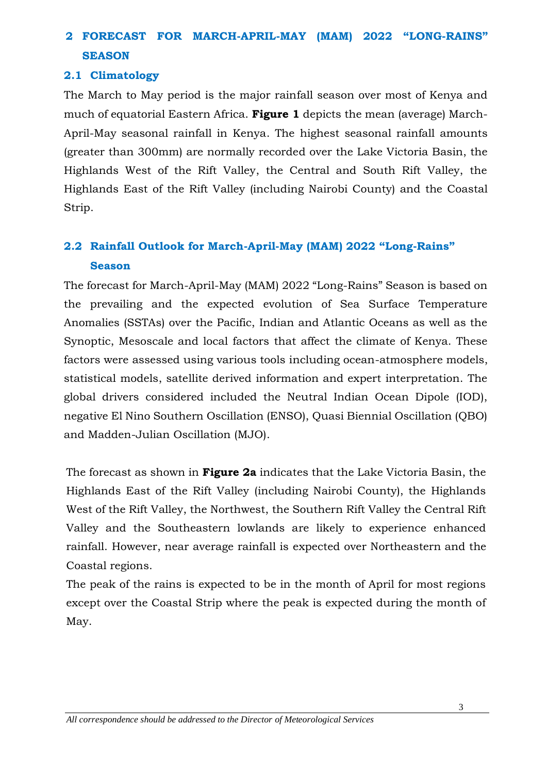# **2 FORECAST FOR MARCH-APRIL-MAY (MAM) 2022 "LONG-RAINS" SEASON**

### **2.1 Climatology**

The March to May period is the major rainfall season over most of Kenya and much of equatorial Eastern Africa. **Figure 1** depicts the mean (average) March-April-May seasonal rainfall in Kenya. The highest seasonal rainfall amounts (greater than 300mm) are normally recorded over the Lake Victoria Basin, the Highlands West of the Rift Valley, the Central and South Rift Valley, the Highlands East of the Rift Valley (including Nairobi County) and the Coastal Strip.

## **2.2 Rainfall Outlook for March-April-May (MAM) 2022 "Long-Rains" Season**

The forecast for March-April-May (MAM) 2022 "Long-Rains" Season is based on the prevailing and the expected evolution of Sea Surface Temperature Anomalies (SSTAs) over the Pacific, Indian and Atlantic Oceans as well as the Synoptic, Mesoscale and local factors that affect the climate of Kenya. These factors were assessed using various tools including ocean-atmosphere models, statistical models, satellite derived information and expert interpretation. The global drivers considered included the Neutral Indian Ocean Dipole (IOD), negative El Nino Southern Oscillation (ENSO), Quasi Biennial Oscillation (QBO) and Madden-Julian Oscillation (MJO).

The forecast as shown in **Figure 2a** indicates that the Lake Victoria Basin, the Highlands East of the Rift Valley (including Nairobi County), the Highlands West of the Rift Valley, the Northwest, the Southern Rift Valley the Central Rift Valley and the Southeastern lowlands are likely to experience enhanced rainfall. However, near average rainfall is expected over Northeastern and the Coastal regions.

The peak of the rains is expected to be in the month of April for most regions except over the Coastal Strip where the peak is expected during the month of May.

*All correspondence should be addressed to the Director of Meteorological Services*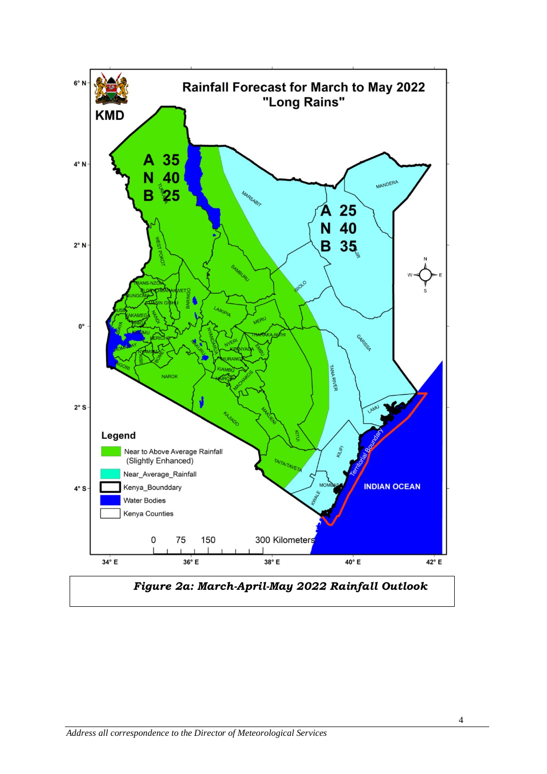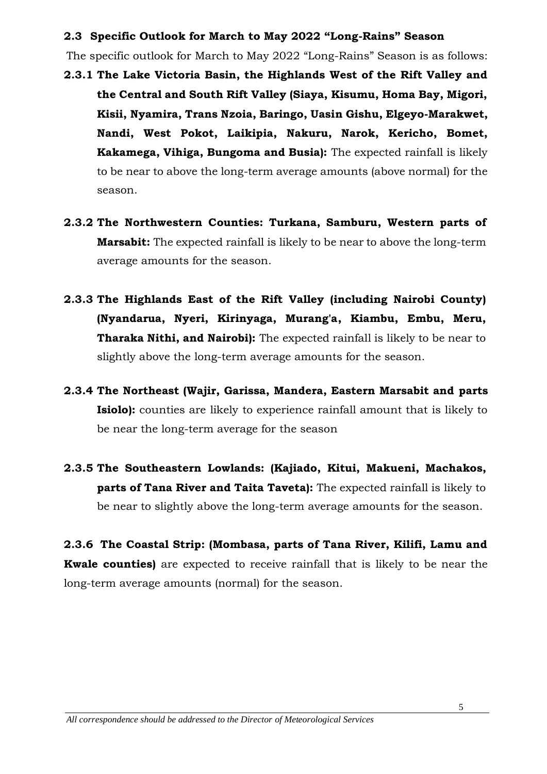#### **2.3 Specific Outlook for March to May 2022 "Long-Rains" Season**

The specific outlook for March to May 2022 "Long-Rains" Season is as follows:

- **2.3.1 The Lake Victoria Basin, the Highlands West of the Rift Valley and the Central and South Rift Valley (Siaya, Kisumu, Homa Bay, Migori, Kisii, Nyamira, Trans Nzoia, Baringo, Uasin Gishu, Elgeyo-Marakwet, Nandi, West Pokot, Laikipia, Nakuru, Narok, Kericho, Bomet, Kakamega, Vihiga, Bungoma and Busia):** The expected rainfall is likely to be near to above the long-term average amounts (above normal) for the season.
- **2.3.2 The Northwestern Counties: Turkana, Samburu, Western parts of Marsabit:** The expected rainfall is likely to be near to above the long-term average amounts for the season.
- **2.3.3 The Highlands East of the Rift Valley (including Nairobi County) (Nyandarua, Nyeri, Kirinyaga, Murang'a, Kiambu, Embu, Meru, Tharaka Nithi, and Nairobi):** The expected rainfall is likely to be near to slightly above the long-term average amounts for the season.
- **2.3.4 The Northeast (Wajir, Garissa, Mandera, Eastern Marsabit and parts Isiolo):** counties are likely to experience rainfall amount that is likely to be near the long-term average for the season
- **2.3.5 The Southeastern Lowlands: (Kajiado, Kitui, Makueni, Machakos, parts of Tana River and Taita Taveta):** The expected rainfall is likely to be near to slightly above the long-term average amounts for the season.

**2.3.6 The Coastal Strip: (Mombasa, parts of Tana River, Kilifi, Lamu and Kwale counties)** are expected to receive rainfall that is likely to be near the long-term average amounts (normal) for the season.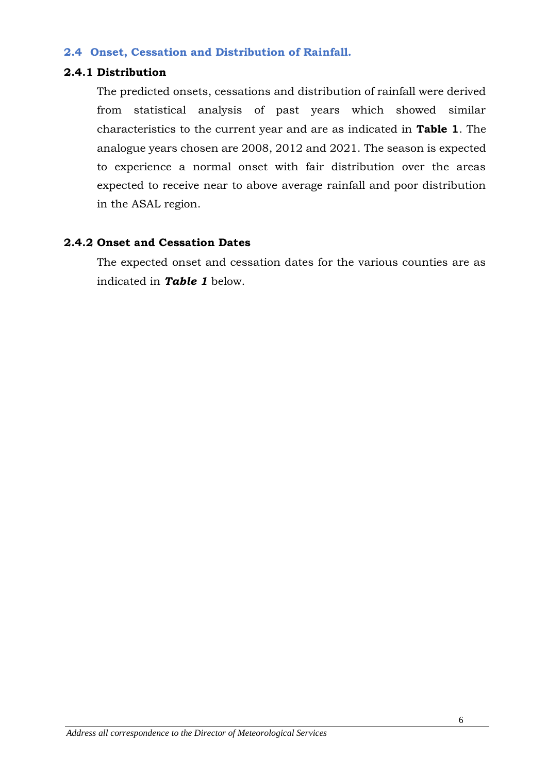#### **2.4 Onset, Cessation and Distribution of Rainfall.**

#### **2.4.1 Distribution**

The predicted onsets, cessations and distribution of rainfall were derived from statistical analysis of past years which showed similar characteristics to the current year and are as indicated in **Table 1**. The analogue years chosen are 2008, 2012 and 2021. The season is expected to experience a normal onset with fair distribution over the areas expected to receive near to above average rainfall and poor distribution in the ASAL region.

#### **2.4.2 Onset and Cessation Dates**

The expected onset and cessation dates for the various counties are as indicated in *Table 1* below.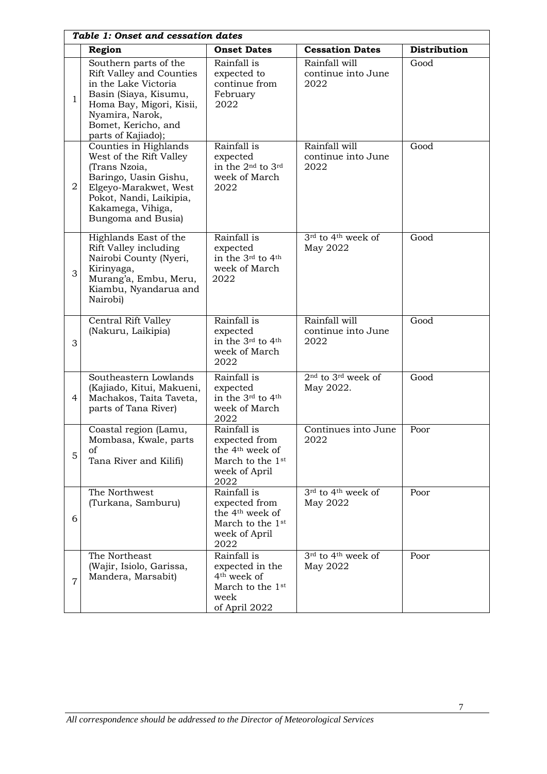| Table 1: Onset and cessation dates |                                                                                                                                                                                                       |                                                                                                                      |                                                         |                     |
|------------------------------------|-------------------------------------------------------------------------------------------------------------------------------------------------------------------------------------------------------|----------------------------------------------------------------------------------------------------------------------|---------------------------------------------------------|---------------------|
|                                    | Region                                                                                                                                                                                                | <b>Onset Dates</b>                                                                                                   | <b>Cessation Dates</b>                                  | <b>Distribution</b> |
| $\mathbf{1}$                       | Southern parts of the<br><b>Rift Valley and Counties</b><br>in the Lake Victoria<br>Basin (Siaya, Kisumu,<br>Homa Bay, Migori, Kisii,<br>Nyamira, Narok,<br>Bomet, Kericho, and<br>parts of Kajiado); | Rainfall is<br>expected to<br>continue from<br>February<br>2022                                                      | Rainfall will<br>continue into June<br>2022             | Good                |
| 2                                  | Counties in Highlands<br>West of the Rift Valley<br>(Trans Nzoia,<br>Baringo, Uasin Gishu,<br>Elgeyo-Marakwet, West<br>Pokot, Nandi, Laikipia,<br>Kakamega, Vihiga,<br>Bungoma and Busia)             | Rainfall is<br>expected<br>in the 2 <sup>nd</sup> to 3 <sup>rd</sup><br>week of March<br>2022                        | Rainfall will<br>continue into June<br>2022             | Good                |
| 3                                  | Highlands East of the<br>Rift Valley including<br>Nairobi County (Nyeri,<br>Kirinyaga,<br>Murang'a, Embu, Meru,<br>Kiambu, Nyandarua and<br>Nairobi)                                                  | Rainfall is<br>expected<br>in the 3rd to 4th<br>week of March<br>2022                                                | $3rd$ to 4 <sup>th</sup> week of<br>May 2022            | Good                |
| 3                                  | Central Rift Valley<br>(Nakuru, Laikipia)                                                                                                                                                             | Rainfall is<br>expected<br>in the 3rd to 4th<br>week of March<br>2022                                                | Rainfall will<br>continue into June<br>2022             | Good                |
| $\overline{4}$                     | Southeastern Lowlands<br>(Kajiado, Kitui, Makueni,<br>Machakos, Taita Taveta,<br>parts of Tana River)                                                                                                 | Rainfall is<br>expected<br>in the 3rd to 4th<br>week of March<br>2022                                                | 2 <sup>nd</sup> to 3 <sup>rd</sup> week of<br>May 2022. | Good                |
| 5                                  | Coastal region (Lamu,<br>Mombasa, Kwale, parts<br>οf<br>Tana River and Kilifi)                                                                                                                        | Rainfall is<br>expected from<br>the 4 <sup>th</sup> week of<br>March to the 1 <sup>st</sup><br>week of April<br>2022 | Continues into June<br>2022                             | Poor                |
| 6                                  | The Northwest<br>(Turkana, Samburu)                                                                                                                                                                   | Rainfall is<br>expected from<br>the 4 <sup>th</sup> week of<br>March to the 1st<br>week of April<br>2022             | 3rd to 4th week of<br>May 2022                          | Poor                |
| 7                                  | The Northeast<br>(Wajir, Isiolo, Garissa,<br>Mandera, Marsabit)                                                                                                                                       | Rainfall is<br>expected in the<br>4 <sup>th</sup> week of<br>March to the 1 <sup>st</sup><br>week<br>of April 2022   | 3 <sup>rd</sup> to 4 <sup>th</sup> week of<br>May 2022  | Poor                |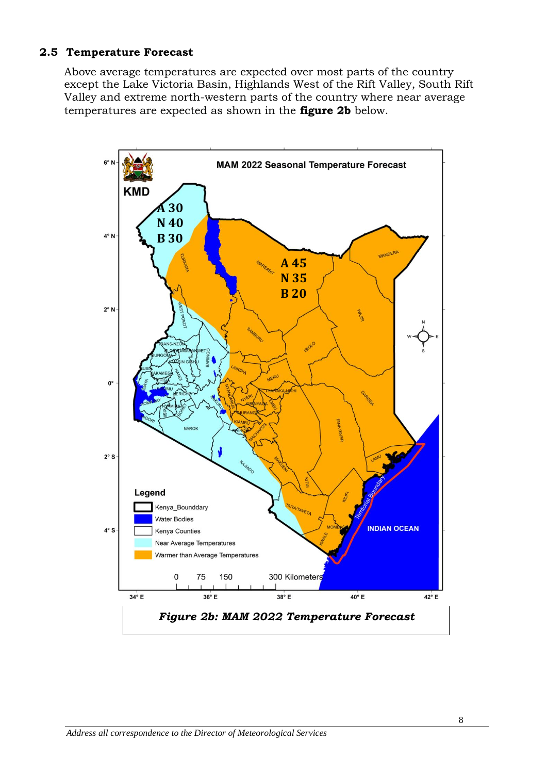#### **2.5 Temperature Forecast**

Above average temperatures are expected over most parts of the country except the Lake Victoria Basin, Highlands West of the Rift Valley, South Rift Valley and extreme north-western parts of the country where near average temperatures are expected as shown in the **figure 2b** below.

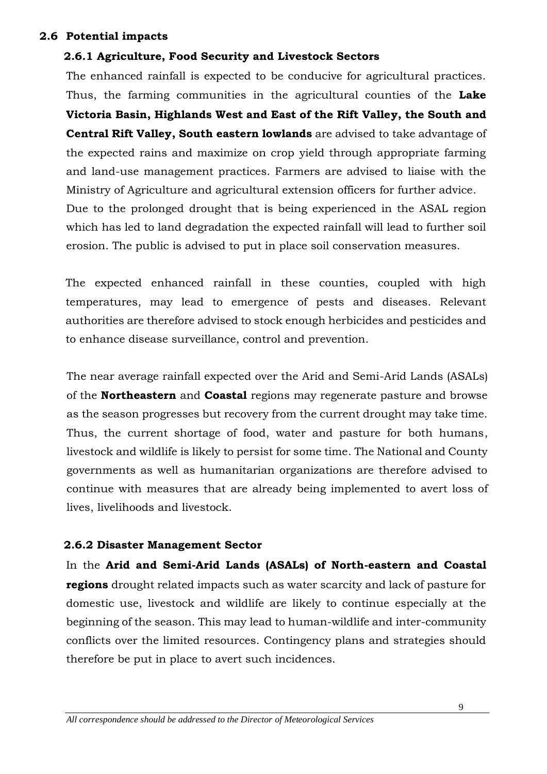#### **2.6 Potential impacts**

### **2.6.1 Agriculture, Food Security and Livestock Sectors**

The enhanced rainfall is expected to be conducive for agricultural practices. Thus, the farming communities in the agricultural counties of the **Lake Victoria Basin, Highlands West and East of the Rift Valley, the South and Central Rift Valley, South eastern lowlands** are advised to take advantage of the expected rains and maximize on crop yield through appropriate farming and land-use management practices. Farmers are advised to liaise with the Ministry of Agriculture and agricultural extension officers for further advice. Due to the prolonged drought that is being experienced in the ASAL region which has led to land degradation the expected rainfall will lead to further soil erosion. The public is advised to put in place soil conservation measures.

The expected enhanced rainfall in these counties, coupled with high temperatures, may lead to emergence of pests and diseases. Relevant authorities are therefore advised to stock enough herbicides and pesticides and to enhance disease surveillance, control and prevention.

The near average rainfall expected over the Arid and Semi-Arid Lands (ASALs) of the **Northeastern** and **Coastal** regions may regenerate pasture and browse as the season progresses but recovery from the current drought may take time. Thus, the current shortage of food, water and pasture for both humans, livestock and wildlife is likely to persist for some time. The National and County governments as well as humanitarian organizations are therefore advised to continue with measures that are already being implemented to avert loss of lives, livelihoods and livestock.

#### **2.6.2 Disaster Management Sector**

In the **Arid and Semi-Arid Lands (ASALs) of North-eastern and Coastal regions** drought related impacts such as water scarcity and lack of pasture for domestic use, livestock and wildlife are likely to continue especially at the beginning of the season. This may lead to human-wildlife and inter-community conflicts over the limited resources. Contingency plans and strategies should therefore be put in place to avert such incidences.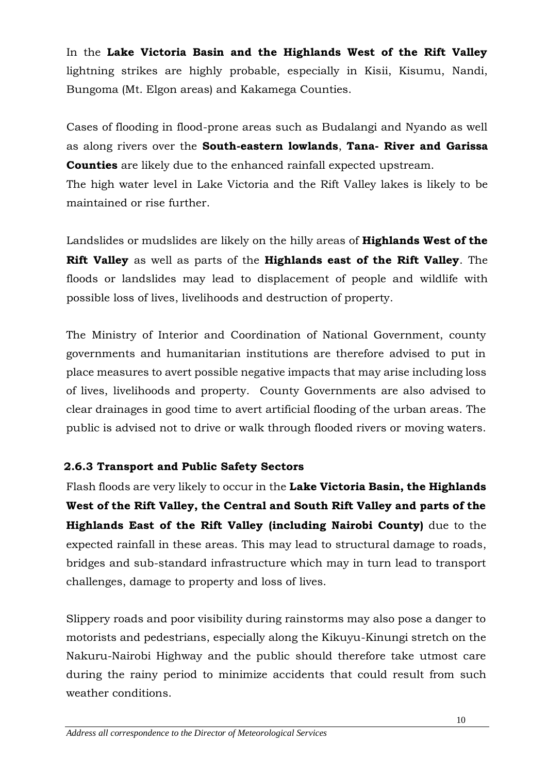In the **Lake Victoria Basin and the Highlands West of the Rift Valley** lightning strikes are highly probable, especially in Kisii, Kisumu, Nandi, Bungoma (Mt. Elgon areas) and Kakamega Counties.

Cases of flooding in flood-prone areas such as Budalangi and Nyando as well as along rivers over the **South-eastern lowlands**, **Tana- River and Garissa Counties** are likely due to the enhanced rainfall expected upstream.

The high water level in Lake Victoria and the Rift Valley lakes is likely to be maintained or rise further.

Landslides or mudslides are likely on the hilly areas of **Highlands West of the Rift Valley** as well as parts of the **Highlands east of the Rift Valley**. The floods or landslides may lead to displacement of people and wildlife with possible loss of lives, livelihoods and destruction of property.

The Ministry of Interior and Coordination of National Government, county governments and humanitarian institutions are therefore advised to put in place measures to avert possible negative impacts that may arise including loss of lives, livelihoods and property. County Governments are also advised to clear drainages in good time to avert artificial flooding of the urban areas. The public is advised not to drive or walk through flooded rivers or moving waters.

## **2.6.3 Transport and Public Safety Sectors**

Flash floods are very likely to occur in the **Lake Victoria Basin, the Highlands West of the Rift Valley, the Central and South Rift Valley and parts of the Highlands East of the Rift Valley (including Nairobi County)** due to the expected rainfall in these areas. This may lead to structural damage to roads, bridges and sub-standard infrastructure which may in turn lead to transport challenges, damage to property and loss of lives.

Slippery roads and poor visibility during rainstorms may also pose a danger to motorists and pedestrians, especially along the Kikuyu-Kinungi stretch on the Nakuru-Nairobi Highway and the public should therefore take utmost care during the rainy period to minimize accidents that could result from such weather conditions.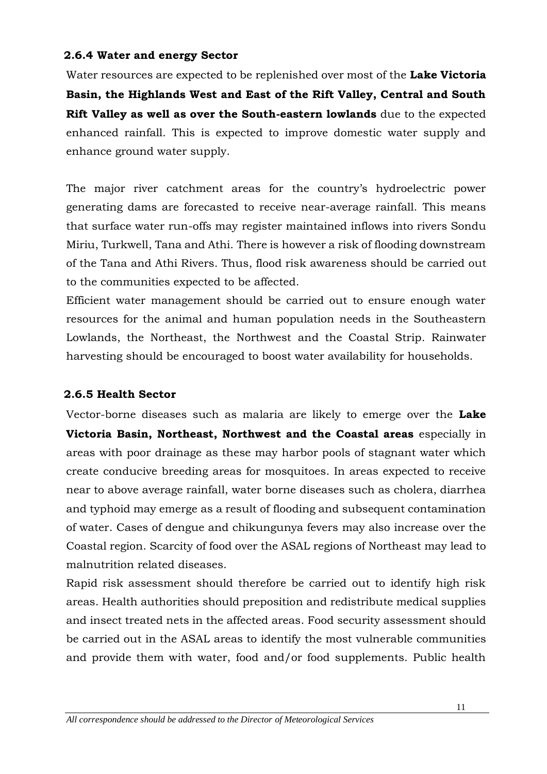#### **2.6.4 Water and energy Sector**

Water resources are expected to be replenished over most of the **Lake Victoria Basin, the Highlands West and East of the Rift Valley, Central and South Rift Valley as well as over the South-eastern lowlands** due to the expected enhanced rainfall. This is expected to improve domestic water supply and enhance ground water supply.

The major river catchment areas for the country's hydroelectric power generating dams are forecasted to receive near-average rainfall. This means that surface water run-offs may register maintained inflows into rivers Sondu Miriu, Turkwell, Tana and Athi. There is however a risk of flooding downstream of the Tana and Athi Rivers. Thus, flood risk awareness should be carried out to the communities expected to be affected.

Efficient water management should be carried out to ensure enough water resources for the animal and human population needs in the Southeastern Lowlands, the Northeast, the Northwest and the Coastal Strip. Rainwater harvesting should be encouraged to boost water availability for households.

## **2.6.5 Health Sector**

Vector-borne diseases such as malaria are likely to emerge over the **Lake Victoria Basin, Northeast, Northwest and the Coastal areas** especially in areas with poor drainage as these may harbor pools of stagnant water which create conducive breeding areas for mosquitoes. In areas expected to receive near to above average rainfall, water borne diseases such as cholera, diarrhea and typhoid may emerge as a result of flooding and subsequent contamination of water. Cases of dengue and chikungunya fevers may also increase over the Coastal region. Scarcity of food over the ASAL regions of Northeast may lead to malnutrition related diseases.

Rapid risk assessment should therefore be carried out to identify high risk areas. Health authorities should preposition and redistribute medical supplies and insect treated nets in the affected areas. Food security assessment should be carried out in the ASAL areas to identify the most vulnerable communities and provide them with water, food and/or food supplements. Public health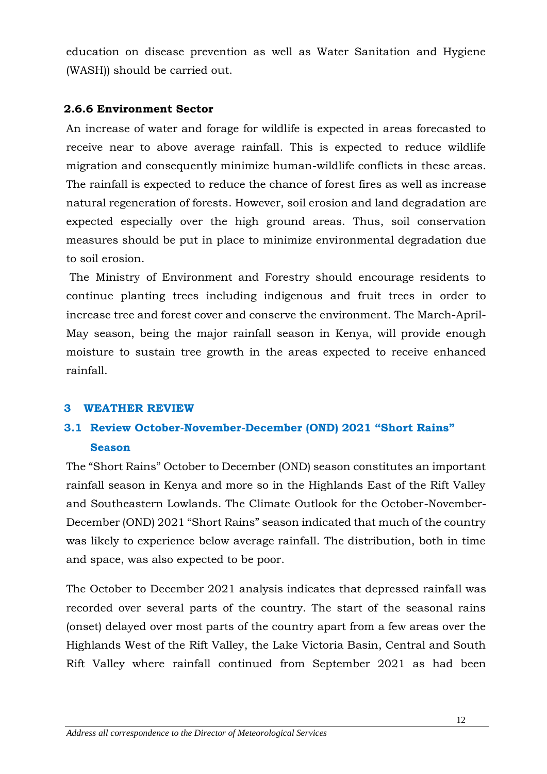education on disease prevention as well as Water Sanitation and Hygiene (WASH)) should be carried out.

#### **2.6.6 Environment Sector**

An increase of water and forage for wildlife is expected in areas forecasted to receive near to above average rainfall. This is expected to reduce wildlife migration and consequently minimize human-wildlife conflicts in these areas. The rainfall is expected to reduce the chance of forest fires as well as increase natural regeneration of forests. However, soil erosion and land degradation are expected especially over the high ground areas. Thus, soil conservation measures should be put in place to minimize environmental degradation due to soil erosion.

The Ministry of Environment and Forestry should encourage residents to continue planting trees including indigenous and fruit trees in order to increase tree and forest cover and conserve the environment. The March-April-May season, being the major rainfall season in Kenya, will provide enough moisture to sustain tree growth in the areas expected to receive enhanced rainfall.

## **3 WEATHER REVIEW**

## **3.1 Review October-November-December (OND) 2021 "Short Rains" Season**

The "Short Rains" October to December (OND) season constitutes an important rainfall season in Kenya and more so in the Highlands East of the Rift Valley and Southeastern Lowlands. The Climate Outlook for the October-November-December (OND) 2021 "Short Rains" season indicated that much of the country was likely to experience below average rainfall. The distribution, both in time and space, was also expected to be poor.

The October to December 2021 analysis indicates that depressed rainfall was recorded over several parts of the country. The start of the seasonal rains (onset) delayed over most parts of the country apart from a few areas over the Highlands West of the Rift Valley, the Lake Victoria Basin, Central and South Rift Valley where rainfall continued from September 2021 as had been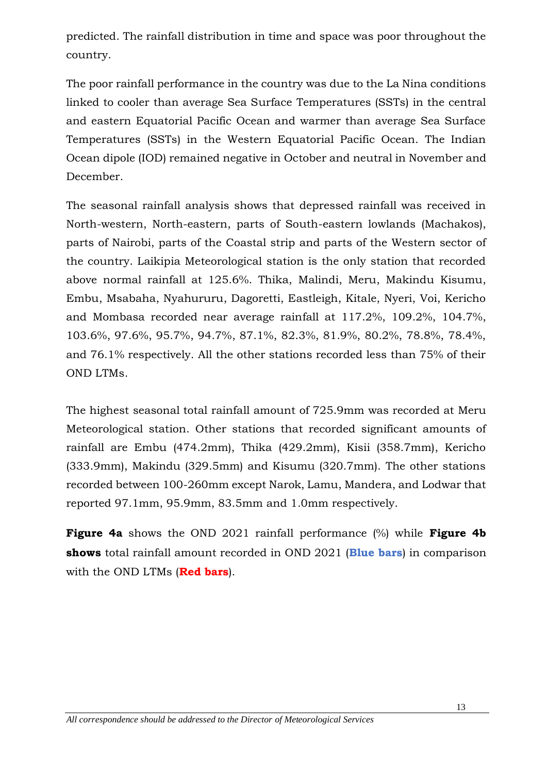predicted. The rainfall distribution in time and space was poor throughout the country.

The poor rainfall performance in the country was due to the La Nina conditions linked to cooler than average Sea Surface Temperatures (SSTs) in the central and eastern Equatorial Pacific Ocean and warmer than average Sea Surface Temperatures (SSTs) in the Western Equatorial Pacific Ocean. The Indian Ocean dipole (IOD) remained negative in October and neutral in November and December.

The seasonal rainfall analysis shows that depressed rainfall was received in North-western, North-eastern, parts of South-eastern lowlands (Machakos), parts of Nairobi, parts of the Coastal strip and parts of the Western sector of the country. Laikipia Meteorological station is the only station that recorded above normal rainfall at 125.6%. Thika, Malindi, Meru, Makindu Kisumu, Embu, Msabaha, Nyahururu, Dagoretti, Eastleigh, Kitale, Nyeri, Voi, Kericho and Mombasa recorded near average rainfall at 117.2%, 109.2%, 104.7%, 103.6%, 97.6%, 95.7%, 94.7%, 87.1%, 82.3%, 81.9%, 80.2%, 78.8%, 78.4%, and 76.1% respectively. All the other stations recorded less than 75% of their OND LTMs.

The highest seasonal total rainfall amount of 725.9mm was recorded at Meru Meteorological station. Other stations that recorded significant amounts of rainfall are Embu (474.2mm), Thika (429.2mm), Kisii (358.7mm), Kericho (333.9mm), Makindu (329.5mm) and Kisumu (320.7mm). The other stations recorded between 100-260mm except Narok, Lamu, Mandera, and Lodwar that reported 97.1mm, 95.9mm, 83.5mm and 1.0mm respectively.

**Figure 4a** shows the OND 2021 rainfall performance (%) while **Figure 4b shows** total rainfall amount recorded in OND 2021 (**Blue bars**) in comparison with the OND LTMs (**Red bars**).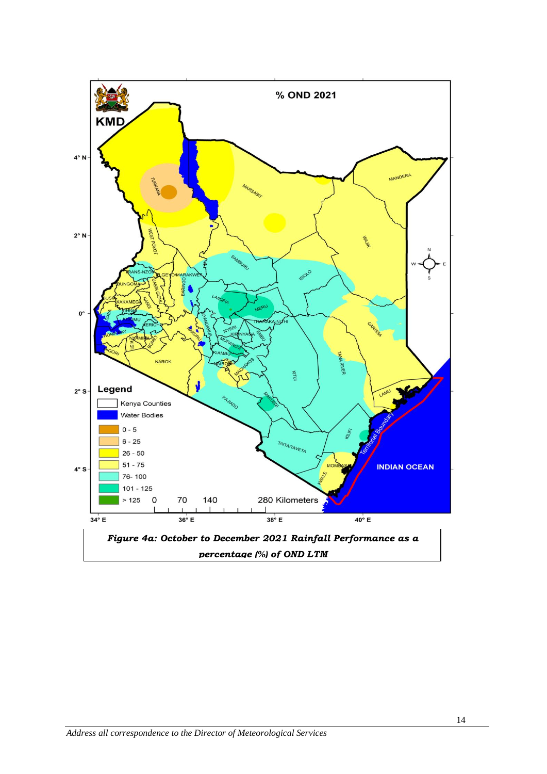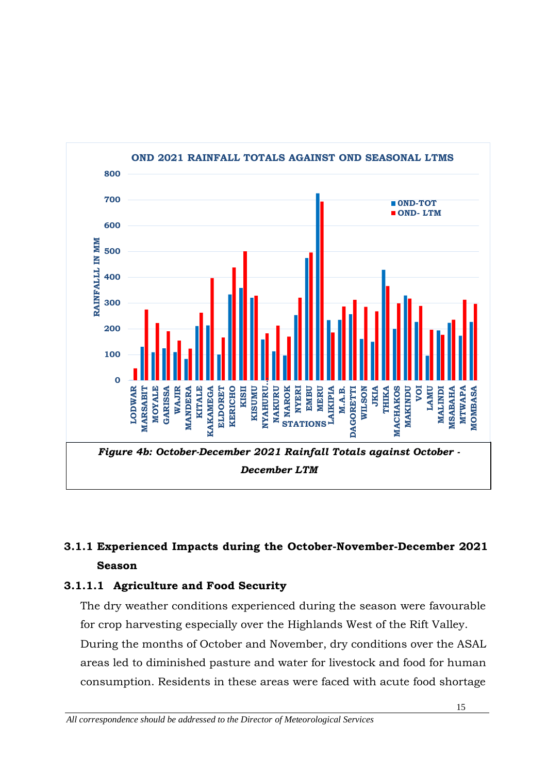

## **3.1.1 Experienced Impacts during the October-November-December 2021 Season**

## **3.1.1.1 Agriculture and Food Security**

The dry weather conditions experienced during the season were favourable for crop harvesting especially over the Highlands West of the Rift Valley. During the months of October and November, dry conditions over the ASAL areas led to diminished pasture and water for livestock and food for human consumption. Residents in these areas were faced with acute food shortage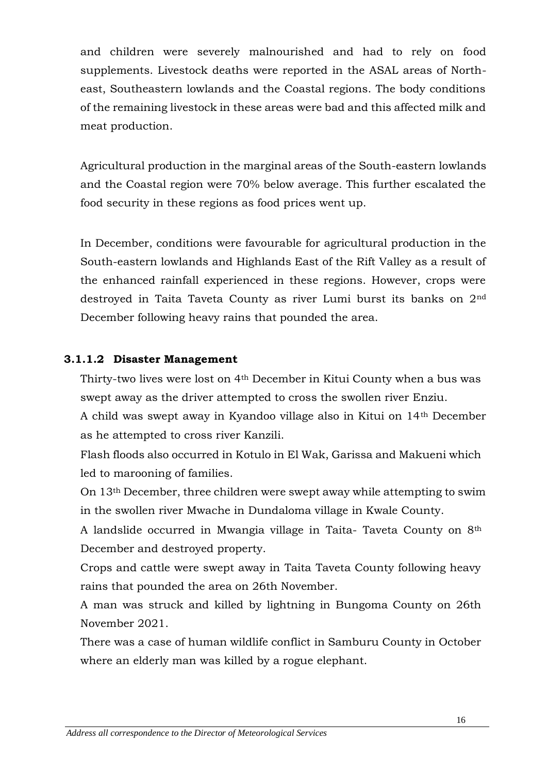and children were severely malnourished and had to rely on food supplements. Livestock deaths were reported in the ASAL areas of Northeast, Southeastern lowlands and the Coastal regions. The body conditions of the remaining livestock in these areas were bad and this affected milk and meat production.

Agricultural production in the marginal areas of the South-eastern lowlands and the Coastal region were 70% below average. This further escalated the food security in these regions as food prices went up.

In December, conditions were favourable for agricultural production in the South-eastern lowlands and Highlands East of the Rift Valley as a result of the enhanced rainfall experienced in these regions. However, crops were destroyed in Taita Taveta County as river Lumi burst its banks on 2nd December following heavy rains that pounded the area.

## **3.1.1.2 Disaster Management**

Thirty-two lives were lost on 4th December in Kitui County when a bus was swept away as the driver attempted to cross the swollen river Enziu.

A child was swept away in Kyandoo village also in Kitui on 14th December as he attempted to cross river Kanzili.

Flash floods also occurred in Kotulo in El Wak, Garissa and Makueni which led to marooning of families.

On 13th December, three children were swept away while attempting to swim in the swollen river Mwache in Dundaloma village in Kwale County.

A landslide occurred in Mwangia village in Taita- Taveta County on 8th December and destroyed property.

Crops and cattle were swept away in Taita Taveta County following heavy rains that pounded the area on 26th November.

A man was struck and killed by lightning in Bungoma County on 26th November 2021.

There was a case of human wildlife conflict in Samburu County in October where an elderly man was killed by a rogue elephant.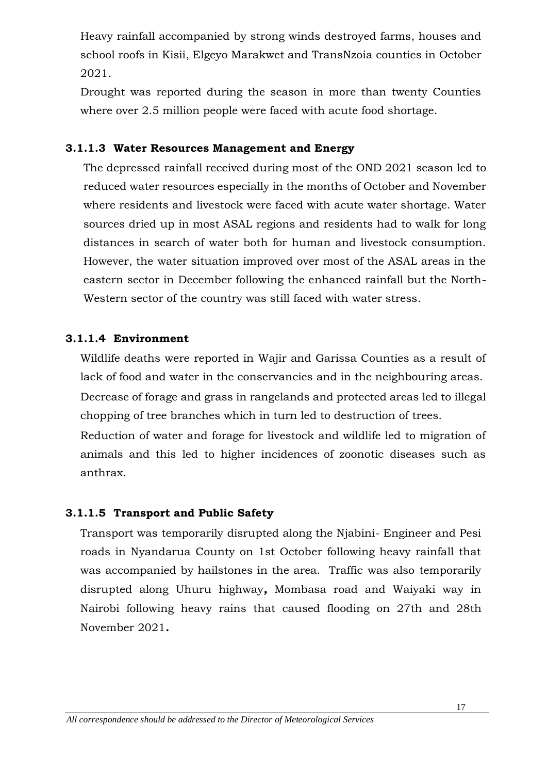Heavy rainfall accompanied by strong winds destroyed farms, houses and school roofs in Kisii, Elgeyo Marakwet and TransNzoia counties in October 2021.

Drought was reported during the season in more than twenty Counties where over 2.5 million people were faced with acute food shortage.

### **3.1.1.3 Water Resources Management and Energy**

The depressed rainfall received during most of the OND 2021 season led to reduced water resources especially in the months of October and November where residents and livestock were faced with acute water shortage. Water sources dried up in most ASAL regions and residents had to walk for long distances in search of water both for human and livestock consumption. However, the water situation improved over most of the ASAL areas in the eastern sector in December following the enhanced rainfall but the North-Western sector of the country was still faced with water stress.

### **3.1.1.4 Environment**

Wildlife deaths were reported in Wajir and Garissa Counties as a result of lack of food and water in the conservancies and in the neighbouring areas. Decrease of forage and grass in rangelands and protected areas led to illegal chopping of tree branches which in turn led to destruction of trees.

Reduction of water and forage for livestock and wildlife led to migration of animals and this led to higher incidences of zoonotic diseases such as anthrax.

#### **3.1.1.5 Transport and Public Safety**

Transport was temporarily disrupted along the Njabini- Engineer and Pesi roads in Nyandarua County on 1st October following heavy rainfall that was accompanied by hailstones in the area. Traffic was also temporarily disrupted along Uhuru highway*,* Mombasa road and Waiyaki way in Nairobi following heavy rains that caused flooding on 27th and 28th November 2021*.*